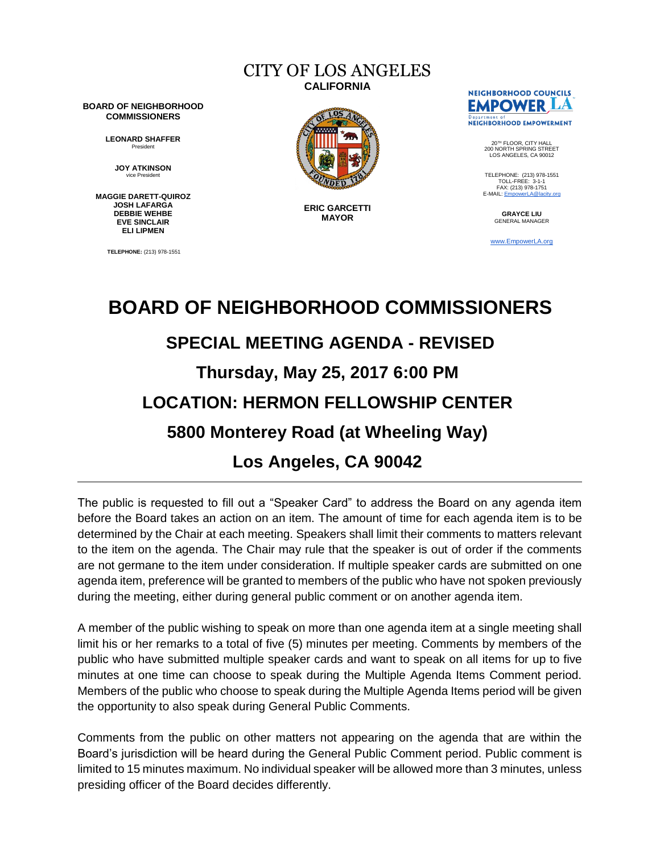# CITY OF LOS ANGELES **CALIFORNIA**

**BOARD OF NEIGHBORHOOD COMMISSIONERS**

> **LEONARD SHAFFER** President

> > **JOY ATKINSON** vice President

**MAGGIE DARETT-QUIROZ JOSH LAFARGA DEBBIE WEHBE EVE SINCLAIR ELI LIPMEN**

**TELEPHONE:** (213) 978-1551



**ERIC GARCETTI MAYOR**



20TH FLOOR, CITY HALL 200 NORTH SPRING STREET LOS ANGELES, CA 90012

TELEPHONE: (213) 978-1551<br>TOLL-EREE: 3-1-1 TOLL-FREE: 3-1-1<br>FAX: (213) 978-1751<br>E-MAIL: <u>EmpowerLA@lacity.orq</u>

> **GRAYCE LIU** GENERAL MANAGER

[www.EmpowerLA.org](http://www.empowerla.org/)

# **BOARD OF NEIGHBORHOOD COMMISSIONERS SPECIAL MEETING AGENDA - REVISED Thursday, May 25, 2017 6:00 PM LOCATION: HERMON FELLOWSHIP CENTER 5800 Monterey Road (at Wheeling Way) Los Angeles, CA 90042**

The public is requested to fill out a "Speaker Card" to address the Board on any agenda item before the Board takes an action on an item. The amount of time for each agenda item is to be determined by the Chair at each meeting. Speakers shall limit their comments to matters relevant to the item on the agenda. The Chair may rule that the speaker is out of order if the comments are not germane to the item under consideration. If multiple speaker cards are submitted on one agenda item, preference will be granted to members of the public who have not spoken previously during the meeting, either during general public comment or on another agenda item.

A member of the public wishing to speak on more than one agenda item at a single meeting shall limit his or her remarks to a total of five (5) minutes per meeting. Comments by members of the public who have submitted multiple speaker cards and want to speak on all items for up to five minutes at one time can choose to speak during the Multiple Agenda Items Comment period. Members of the public who choose to speak during the Multiple Agenda Items period will be given the opportunity to also speak during General Public Comments.

Comments from the public on other matters not appearing on the agenda that are within the Board's jurisdiction will be heard during the General Public Comment period. Public comment is limited to 15 minutes maximum. No individual speaker will be allowed more than 3 minutes, unless presiding officer of the Board decides differently.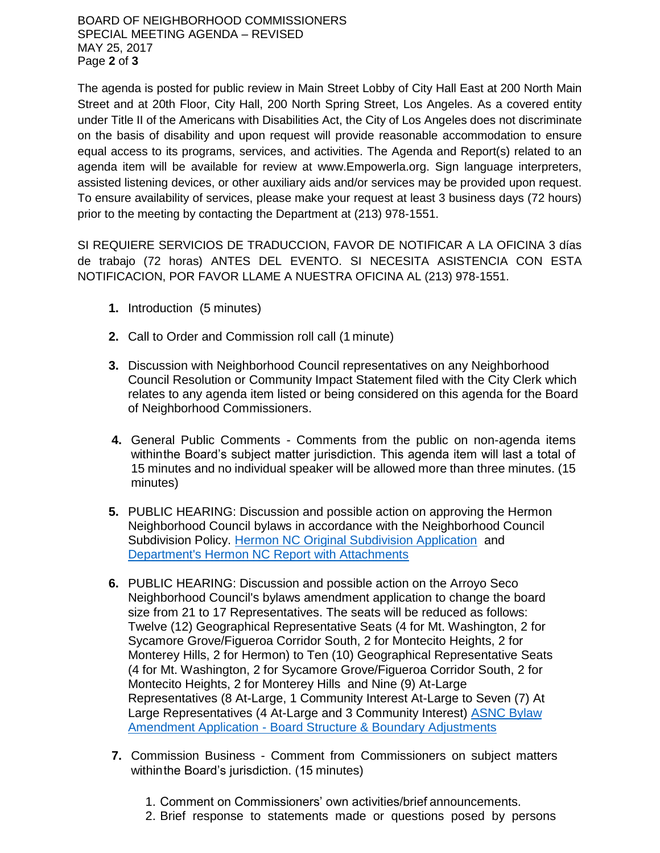BOARD OF NEIGHBORHOOD COMMISSIONERS SPECIAL MEETING AGENDA – REVISED MAY 25, 2017 Page **2** of **3**

The agenda is posted for public review in Main Street Lobby of City Hall East at 200 North Main Street and at 20th Floor, City Hall, 200 North Spring Street, Los Angeles. As a covered entity under Title II of the Americans with Disabilities Act, the City of Los Angeles does not discriminate on the basis of disability and upon request will provide reasonable accommodation to ensure equal access to its programs, services, and activities. The Agenda and Report(s) related to an agenda item will be available for review at www.Empowerla.org. Sign language interpreters, assisted listening devices, or other auxiliary aids and/or services may be provided upon request. To ensure availability of services, please make your request at least 3 business days (72 hours) prior to the meeting by contacting the Department at (213) 978-1551.

SI REQUIERE SERVICIOS DE TRADUCCION, FAVOR DE NOTIFICAR A LA OFICINA 3 días de trabajo (72 horas) ANTES DEL EVENTO. SI NECESITA ASISTENCIA CON ESTA NOTIFICACION, POR FAVOR LLAME A NUESTRA OFICINA AL (213) 978-1551.

- **1.** Introduction (5 minutes)
- **2.** Call to Order and Commission roll call (1 minute)
- **3.** Discussion with Neighborhood Council representatives on any Neighborhood Council Resolution or Community Impact Statement filed with the City Clerk which relates to any agenda item listed or being considered on this agenda for the Board of Neighborhood Commissioners.
- **4.** General Public Comments Comments from the public on non-agenda items withinthe Board's subject matter jurisdiction. This agenda item will last a total of 15 minutes and no individual speaker will be allowed more than three minutes. (15 minutes)
- **5.** PUBLIC HEARING: Discussion and possible action on approving the Hermon Neighborhood Council bylaws in accordance with the Neighborhood Council Subdivision Policy. [Hermon NC Original Subdivision Application](http://empowerla.org/wp-content/uploads/2017/05/Hermon-Neighborhood-Council-ORIGINAL-SUBMISSION-Application_Redacted.pdf) and [Department's Hermon NC Report with Attachments](https://drive.google.com/open?id=0B5gzygHdB99icnRoQU5UeTk4LUk)
- **6.** PUBLIC HEARING: Discussion and possible action on the Arroyo Seco Neighborhood Council's bylaws amendment application to change the board size from 21 to 17 Representatives. The seats will be reduced as follows: Twelve (12) Geographical Representative Seats (4 for Mt. Washington, 2 for Sycamore Grove/Figueroa Corridor South, 2 for Montecito Heights, 2 for Monterey Hills, 2 for Hermon) to Ten (10) Geographical Representative Seats (4 for Mt. Washington, 2 for Sycamore Grove/Figueroa Corridor South, 2 for Montecito Heights, 2 for Monterey Hills and Nine (9) At-Large Representatives (8 At-Large, 1 Community Interest At-Large to Seven (7) At Large Representatives (4 At-Large and 3 Community Interest) [ASNC Bylaw](https://drive.google.com/open?id=0B5gzygHdB99icUQyME9VYW13a0U)  Amendment Application - Board [Structure & Boundary Adjustments](https://drive.google.com/open?id=0B5gzygHdB99icUQyME9VYW13a0U)
- **7.** Commission Business Comment from Commissioners on subject matters withinthe Board's jurisdiction. (15 minutes)
	- 1. Comment on Commissioners' own activities/brief announcements.
	- 2. Brief response to statements made or questions posed by persons